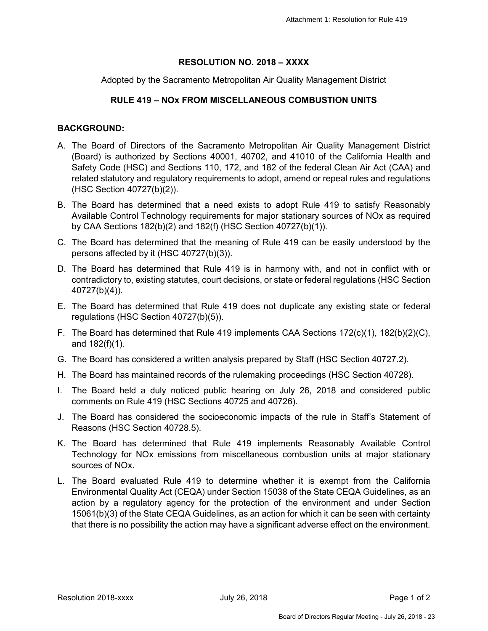## **RESOLUTION NO. 2018 – XXXX**

Adopted by the Sacramento Metropolitan Air Quality Management District

## **RULE 419 – NOx FROM MISCELLANEOUS COMBUSTION UNITS**

## **BACKGROUND:**

- A. The Board of Directors of the Sacramento Metropolitan Air Quality Management District (Board) is authorized by Sections 40001, 40702, and 41010 of the California Health and Safety Code (HSC) and Sections 110, 172, and 182 of the federal Clean Air Act (CAA) and related statutory and regulatory requirements to adopt, amend or repeal rules and regulations (HSC Section 40727(b)(2)).
- B. The Board has determined that a need exists to adopt Rule 419 to satisfy Reasonably Available Control Technology requirements for major stationary sources of NOx as required by CAA Sections 182(b)(2) and 182(f) (HSC Section 40727(b)(1)).
- C. The Board has determined that the meaning of Rule 419 can be easily understood by the persons affected by it (HSC 40727(b)(3)).
- D. The Board has determined that Rule 419 is in harmony with, and not in conflict with or contradictory to, existing statutes, court decisions, or state or federal regulations (HSC Section 40727(b)(4)).
- E. The Board has determined that Rule 419 does not duplicate any existing state or federal regulations (HSC Section 40727(b)(5)).
- F. The Board has determined that Rule 419 implements CAA Sections 172(c)(1), 182(b)(2)(C), and 182(f)(1).
- G. The Board has considered a written analysis prepared by Staff (HSC Section 40727.2).
- H. The Board has maintained records of the rulemaking proceedings (HSC Section 40728).
- I. The Board held a duly noticed public hearing on July 26, 2018 and considered public comments on Rule 419 (HSC Sections 40725 and 40726).
- J. The Board has considered the socioeconomic impacts of the rule in Staff's Statement of Reasons (HSC Section 40728.5).
- K. The Board has determined that Rule 419 implements Reasonably Available Control Technology for NOx emissions from miscellaneous combustion units at major stationary sources of NOx.
- L. The Board evaluated Rule 419 to determine whether it is exempt from the California Environmental Quality Act (CEQA) under Section 15038 of the State CEQA Guidelines, as an action by a regulatory agency for the protection of the environment and under Section 15061(b)(3) of the State CEQA Guidelines, as an action for which it can be seen with certainty that there is no possibility the action may have a significant adverse effect on the environment.